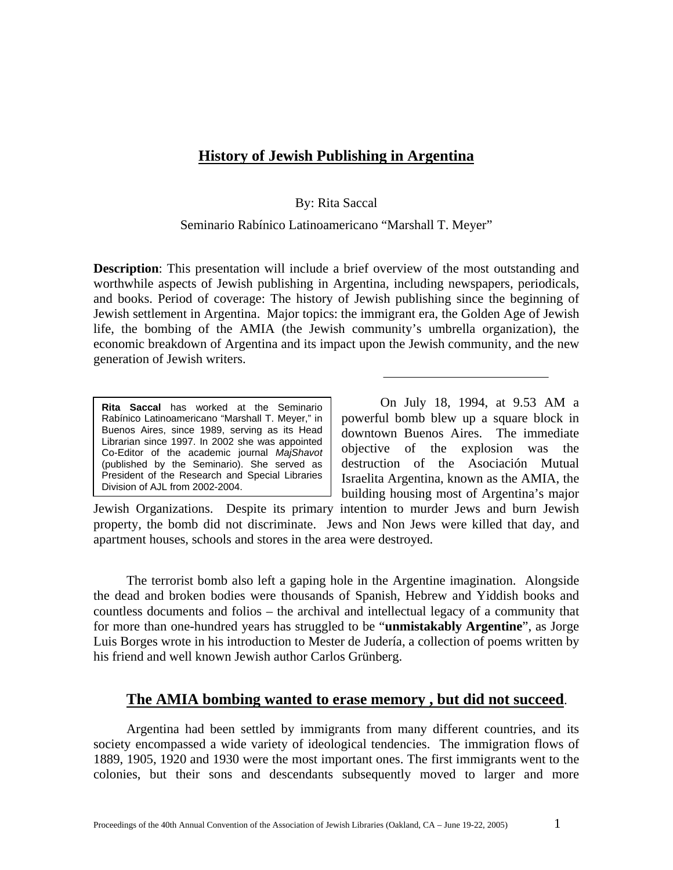## **History of Jewish Publishing in Argentina**

By: Rita Saccal

Seminario Rabínico Latinoamericano "Marshall T. Meyer"

**Description**: This presentation will include a brief overview of the most outstanding and worthwhile aspects of Jewish publishing in Argentina, including newspapers, periodicals, and books. Period of coverage: The history of Jewish publishing since the beginning of Jewish settlement in Argentina. Major topics: the immigrant era, the Golden Age of Jewish life, the bombing of the AMIA (the Jewish community's umbrella organization), the economic breakdown of Argentina and its impact upon the Jewish community, and the new generation of Jewish writers.

**Rita Saccal** has worked at the Seminario Rabínico Latinoamericano "Marshall T. Meyer," in Buenos Aires, since 1989, serving as its Head Librarian since 1997. In 2002 she was appointed Co-Editor of the academic journal *MajShavot* (published by the Seminario). She served as President of the Research and Special Libraries Division of AJL from 2002-2004.

On July 18, 1994, at 9.53 AM a powerful bomb blew up a square block in downtown Buenos Aires. The immediate objective of the explosion was the destruction of the Asociación Mutual Israelita Argentina, known as the AMIA, the building housing most of Argentina's major

Jewish Organizations. Despite its primary intention to murder Jews and burn Jewish property, the bomb did not discriminate. Jews and Non Jews were killed that day, and apartment houses, schools and stores in the area were destroyed.

The terrorist bomb also left a gaping hole in the Argentine imagination. Alongside the dead and broken bodies were thousands of Spanish, Hebrew and Yiddish books and countless documents and folios – the archival and intellectual legacy of a community that for more than one-hundred years has struggled to be "**unmistakably Argentine**", as Jorge Luis Borges wrote in his introduction to Mester de Judería, a collection of poems written by his friend and well known Jewish author Carlos Grünberg.

## **The AMIA bombing wanted to erase memory , but did not succeed**.

Argentina had been settled by immigrants from many different countries, and its society encompassed a wide variety of ideological tendencies. The immigration flows of 1889, 1905, 1920 and 1930 were the most important ones. The first immigrants went to the colonies, but their sons and descendants subsequently moved to larger and more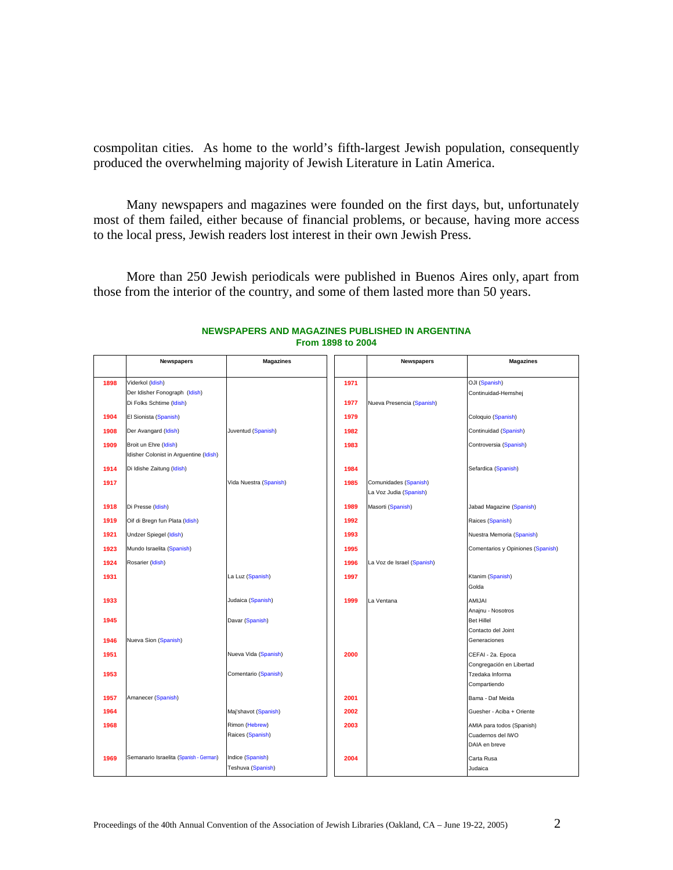cosmpolitan cities. As home to the world's fifth-largest Jewish population, consequently produced the overwhelming majority of Jewish Literature in Latin America.

Many newspapers and magazines were founded on the first days, but, unfortunately most of them failed, either because of financial problems, or because, having more access to the local press, Jewish readers lost interest in their own Jewish Press.

More than 250 Jewish periodicals were published in Buenos Aires only, apart from those from the interior of the country, and some of them lasted more than 50 years.

|      | <b>Newspapers</b>                                               | <b>Magazines</b>                      |      | <b>Newspapers</b>                               | <b>Magazines</b>                                                |
|------|-----------------------------------------------------------------|---------------------------------------|------|-------------------------------------------------|-----------------------------------------------------------------|
| 1898 | Viderkol (Idish)<br>Der Idisher Fonograph (Idish)               |                                       | 1971 |                                                 | OJI (Spanish)                                                   |
|      | Di Folks Schtime (Idish)                                        |                                       | 1977 | Nueva Presencia (Spanish)                       | Continuidad-Hemshej                                             |
| 1904 | El Sionista (Spanish)                                           |                                       | 1979 |                                                 | Coloquio (Spanish)                                              |
| 1908 | Der Avangard (Idish)                                            | Juventud (Spanish)                    | 1982 |                                                 | Continuidad (Spanish)                                           |
| 1909 | Broit un Ehre (Idish)<br>Idisher Colonist in Arguentine (Idish) |                                       | 1983 |                                                 | Controversia (Spanish)                                          |
| 1914 | Di Idishe Zaitung (Idish)                                       |                                       | 1984 |                                                 | Sefardica (Spanish)                                             |
| 1917 |                                                                 | Vida Nuestra (Spanish)                | 1985 | Comunidades (Spanish)<br>La Voz Judia (Spanish) |                                                                 |
| 1918 | Di Presse (Idish)                                               |                                       | 1989 | Masorti (Spanish)                               | Jabad Magazine (Spanish)                                        |
| 1919 | Oif di Bregn fun Plata (Idish)                                  |                                       | 1992 |                                                 | Raices (Spanish)                                                |
| 1921 | Undzer Spiegel (Idish)                                          |                                       | 1993 |                                                 | Nuestra Memoria (Spanish)                                       |
| 1923 | Mundo Israelita (Spanish)                                       |                                       | 1995 |                                                 | Comentarios y Opiniones (Spanish)                               |
| 1924 | Rosarier (Idish)                                                |                                       | 1996 | La Voz de Israel (Spanish)                      |                                                                 |
| 1931 |                                                                 | La Luz (Spanish)                      | 1997 |                                                 | Ktanim (Spanish)                                                |
|      |                                                                 |                                       |      |                                                 | Golda                                                           |
| 1933 |                                                                 | Judaica (Spanish)                     | 1999 | La Ventana                                      | <b>AMIJAI</b><br>Anajnu - Nosotros                              |
| 1945 |                                                                 | Davar (Spanish)                       |      |                                                 | <b>Bet Hillel</b>                                               |
| 1946 | Nueva Sion (Spanish)                                            |                                       |      |                                                 | Contacto del Joint<br>Generaciones                              |
| 1951 |                                                                 | Nueva Vida (Spanish)                  | 2000 |                                                 | CEFAI - 2a. Epoca                                               |
| 1953 |                                                                 | Comentario (Spanish)                  |      |                                                 | Congregación en Libertad<br>Tzedaka Informa<br>Compartiendo     |
| 1957 | Amanecer (Spanish)                                              |                                       | 2001 |                                                 | Bama - Daf Meida                                                |
| 1964 |                                                                 | Maj'shavot (Spanish)                  | 2002 |                                                 | Guesher - Aciba + Oriente                                       |
| 1968 |                                                                 | Rimon (Hebrew)<br>Raices (Spanish)    | 2003 |                                                 | AMIA para todos (Spanish)<br>Cuadernos del IWO<br>DAIA en breve |
| 1969 | Semanario Israelita (Spanish - German)                          | Indice (Spanish)<br>Teshuva (Spanish) | 2004 |                                                 | Carta Rusa<br>Judaica                                           |

#### **NEWSPAPERS AND MAGAZINES PUBLISHED IN ARGENTINA From 1898 to 2004**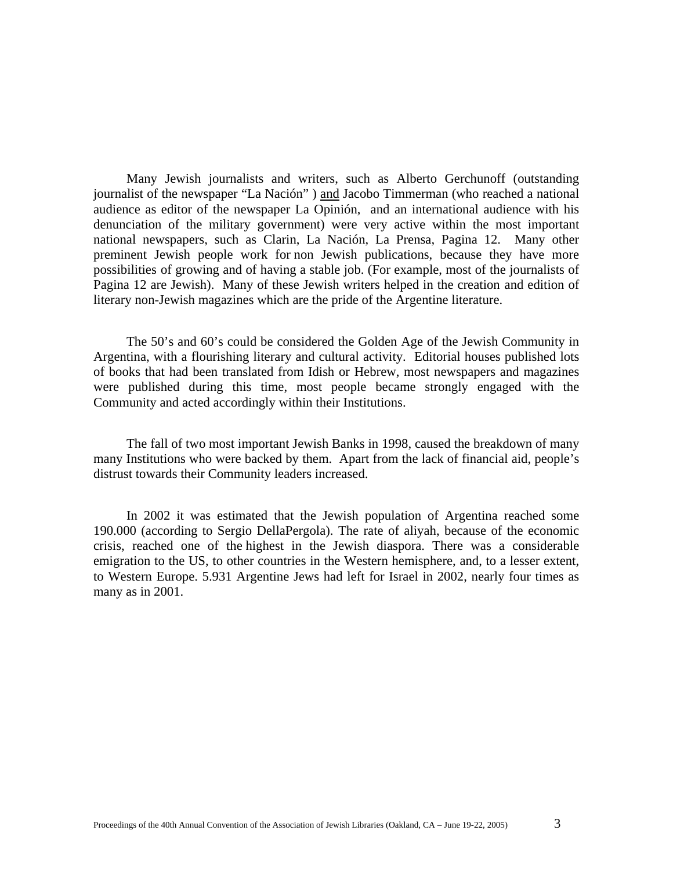Many Jewish journalists and writers, such as Alberto Gerchunoff (outstanding journalist of the newspaper "La Nación" ) and Jacobo Timmerman (who reached a national audience as editor of the newspaper La Opinión, and an international audience with his denunciation of the military government) were very active within the most important national newspapers, such as Clarin, La Nación, La Prensa, Pagina 12. Many other preminent Jewish people work for non Jewish publications, because they have more possibilities of growing and of having a stable job. (For example, most of the journalists of Pagina 12 are Jewish). Many of these Jewish writers helped in the creation and edition of literary non-Jewish magazines which are the pride of the Argentine literature.

The 50's and 60's could be considered the Golden Age of the Jewish Community in Argentina, with a flourishing literary and cultural activity. Editorial houses published lots of books that had been translated from Idish or Hebrew, most newspapers and magazines were published during this time, most people became strongly engaged with the Community and acted accordingly within their Institutions.

The fall of two most important Jewish Banks in 1998, caused the breakdown of many many Institutions who were backed by them. Apart from the lack of financial aid, people's distrust towards their Community leaders increased.

In 2002 it was estimated that the Jewish population of Argentina reached some 190.000 (according to Sergio DellaPergola). The rate of aliyah, because of the economic crisis, reached one of the highest in the Jewish diaspora. There was a considerable emigration to the US, to other countries in the Western hemisphere, and, to a lesser extent, to Western Europe. 5.931 Argentine Jews had left for Israel in 2002, nearly four times as many as in 2001.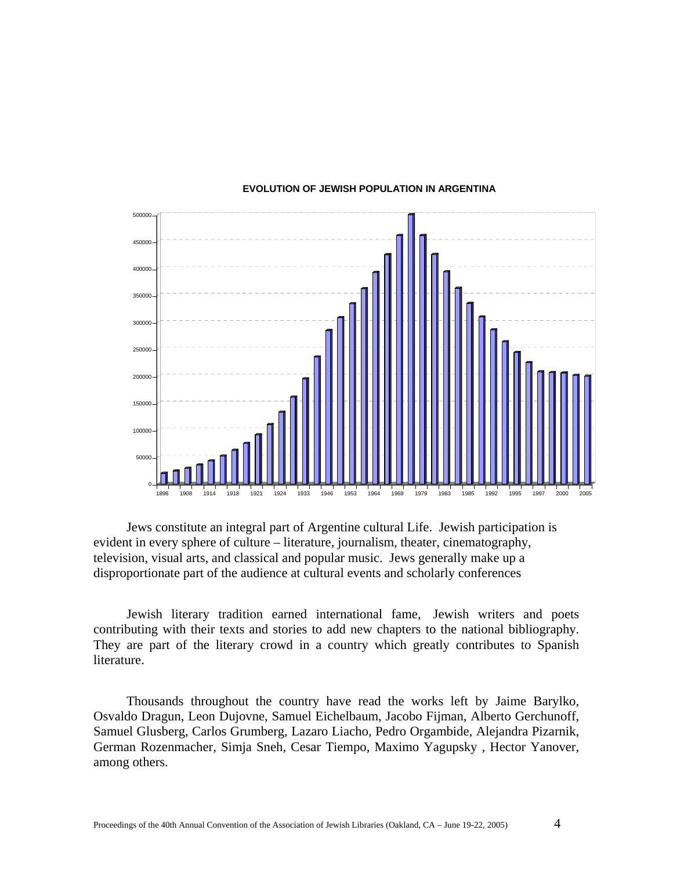

#### **EVOLUTION OF JEWISH POPULATION IN ARGENTINA**

Jews constitute an integral part of Argentine cultural Life. Jewish participation is evident in every sphere of culture – literature, journalism, theater, cinematography, television, visual arts, and classical and popular music. Jews generally make up a disproportionate part of the audience at cultural events and scholarly conferences

Jewish literary tradition earned international fame, Jewish writers and poets contributing with their texts and stories to add new chapters to the national bibliography. They are part of the literary crowd in a country which greatly contributes to Spanish literature.

Thousands throughout the country have read the works left by Jaime Barylko, Osvaldo Dragun, Leon Dujovne, Samuel Eichelbaum, Jacobo Fijman, Alberto Gerchunoff, Samuel Glusberg, Carlos Grumberg, Lazaro Liacho, Pedro Orgambide, Alejandra Pizarnik, German Rozenmacher, Simja Sneh, Cesar Tiempo, Maximo Yagupsky , Hector Yanover, among others.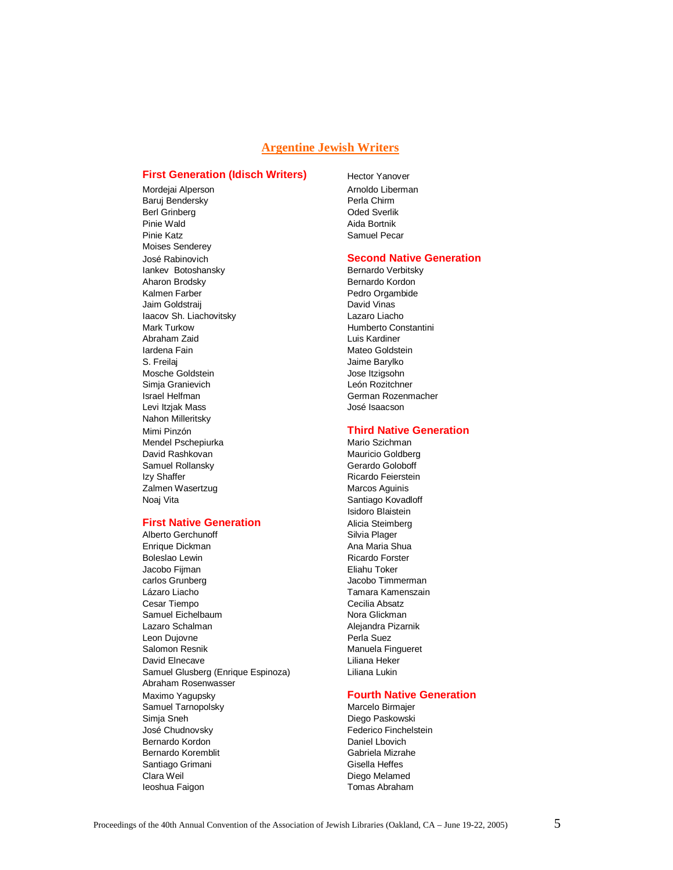#### **Argentine Jewish Writers**

#### **First Generation (Idisch Writers)**

Mordejai Alperson Arnoldo Liberman Baruj Bendersky Berl Grinberg **Oded Sverlik** Pinie Wald **Aida Bortnik** Pinie Katz **Samuel Pecar** Samuel Pecar Moises Senderey José Rabinovich Iankev Botoshansky Bernardo Verbitsky Aharon Brodsky **Bernardo Kordon** Kalmen Farber **Pedro Orgambide** Jaim Goldstraij **David Vinas** Iaacov Sh. Liachovitsky Lazaro Liacho Mark Turkow **Mark Turkow** Humberto Constantini Abraham Zaid **Luis Kardiner** Iardena Fain **Mateo Goldstein** S. Freilaj Maria de La Contra de La Jaime Barylko Mosche Goldstein and The University of the University of the University of the University of the University of the University of the University of the University of the University of the University of the University of the Simja Granievich **León Rozitchner** Israel Helfman German Rozenmacher Levi Itzjak Mass **Van Europa III. September 1988** José Isaacson Nahon Milleritsky Mimi Pinzón Mendel Pschepiurka Mario Szichman David Rashkovan Mauricio Goldberg<br>
Samuel Rollansky Mauricio Goldberg<br>
Gerardo Goloboff Samuel Rollansky Izy Shaffer **Ricardo Feierstein** Zalmen Wasertzug **Marcos Aguinis** Marcos Aguinis Noaj Vita **Noal Vita** Santiago Kovadloff

#### **First Native Generation**

Alberto Gerchunoff Silvia Plager Enrique Dickman Ana Maria Shua Boleslao Lewin **Ricardo Forster** Ricardo Forster Jacobo Fijman **Eliahu Toker** carlos Grunberg **Jacobo Timmerman** Lázaro Liacho **Tamara Kamenszain** Cesar Tiempo Cecilia Absatz Samuel Eichelbaum Nora Glickman Lazaro Schalman **Alejandra Pizarnik** Leon Dujovne **Perla Suez** Salomon Resnik Manuela Fingueret David Elnecave **Liliana** Heker Samuel Glusberg (Enrique Espinoza) Liliana Lukin Abraham Rosenwasser Maximo Yagupsky Samuel Tarnopolsky Marcelo Birmajer Simja Sneh Diego Paskowski José Chudnovsky **Federico** Finchelstein Bernardo Kordon **Daniel Loovich** Bernardo Koremblit Gabriela Mizrahe Santiago Grimani Gisella Heffes Clara Weil **Clara Weil Diego Melamed** Ieoshua Faigon **International Community** Tomas Abraham

Hector Yanover

#### **Second Native Generation**

#### **Third Native Generation**

 Isidoro Blaistein Alicia Steimberg

#### **Fourth Native Generation**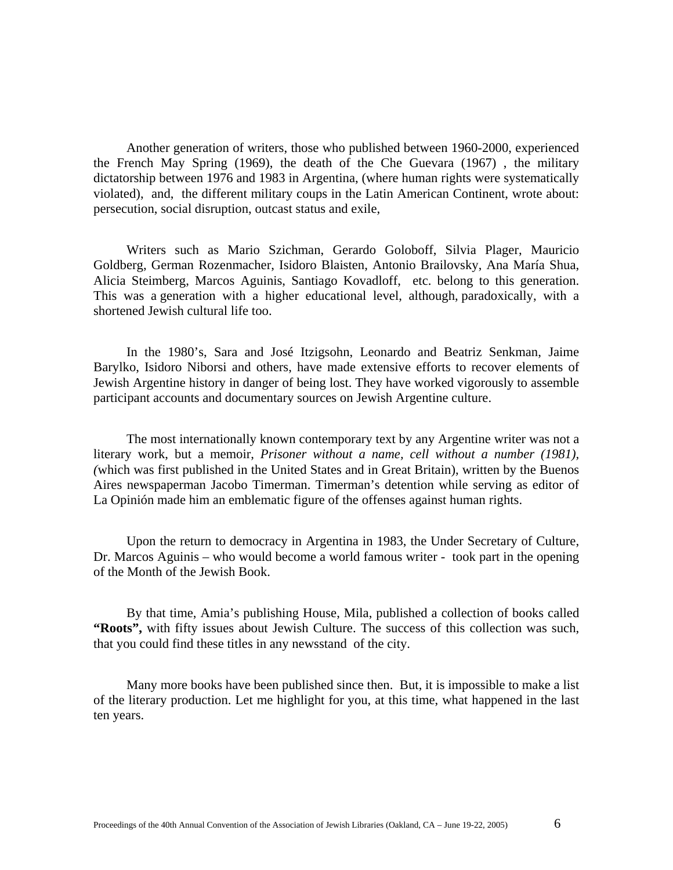Another generation of writers, those who published between 1960-2000, experienced the French May Spring (1969), the death of the Che Guevara (1967) , the military dictatorship between 1976 and 1983 in Argentina, (where human rights were systematically violated), and, the different military coups in the Latin American Continent, wrote about: persecution, social disruption, outcast status and exile,

Writers such as Mario Szichman, Gerardo Goloboff, Silvia Plager, Mauricio Goldberg, German Rozenmacher, Isidoro Blaisten, Antonio Brailovsky, Ana María Shua, Alicia Steimberg, Marcos Aguinis, Santiago Kovadloff, etc. belong to this generation. This was a generation with a higher educational level, although, paradoxically, with a shortened Jewish cultural life too.

In the 1980's, Sara and José Itzigsohn, Leonardo and Beatriz Senkman, Jaime Barylko, Isidoro Niborsi and others, have made extensive efforts to recover elements of Jewish Argentine history in danger of being lost. They have worked vigorously to assemble participant accounts and documentary sources on Jewish Argentine culture.

The most internationally known contemporary text by any Argentine writer was not a literary work, but a memoir, *Prisoner without a name, cell without a number (1981), (*which was first published in the United States and in Great Britain), written by the Buenos Aires newspaperman Jacobo Timerman. Timerman's detention while serving as editor of La Opinión made him an emblematic figure of the offenses against human rights.

Upon the return to democracy in Argentina in 1983, the Under Secretary of Culture, Dr. Marcos Aguinis – who would become a world famous writer - took part in the opening of the Month of the Jewish Book.

By that time, Amia's publishing House, Mila, published a collection of books called **"Roots",** with fifty issues about Jewish Culture. The success of this collection was such, that you could find these titles in any newsstand of the city.

Many more books have been published since then. But, it is impossible to make a list of the literary production. Let me highlight for you, at this time, what happened in the last ten years.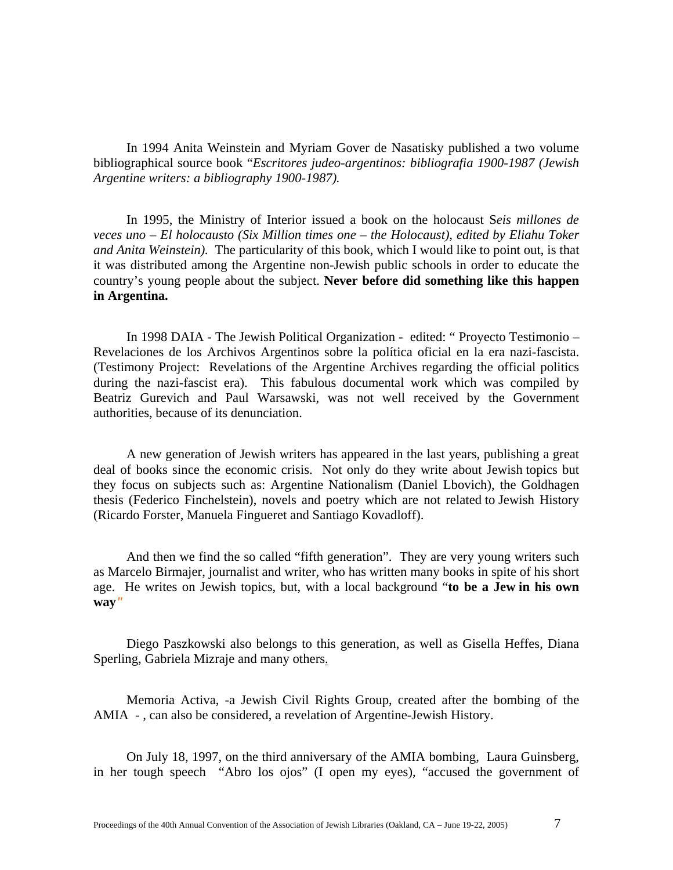In 1994 Anita Weinstein and Myriam Gover de Nasatisky published a two volume bibliographical source book "*Escritores judeo-argentinos: bibliografia 1900-1987 (Jewish Argentine writers: a bibliography 1900-1987).* 

In 1995, the Ministry of Interior issued a book on the holocaust S*eis millones de veces uno – El holocausto (Six Million times one – the Holocaust), edited by Eliahu Toker and Anita Weinstein).* The particularity of this book, which I would like to point out, is that it was distributed among the Argentine non-Jewish public schools in order to educate the country's young people about the subject. **Never before did something like this happen in Argentina.** 

In 1998 DAIA - The Jewish Political Organization - edited: " Proyecto Testimonio – Revelaciones de los Archivos Argentinos sobre la política oficial en la era nazi-fascista. (Testimony Project: Revelations of the Argentine Archives regarding the official politics during the nazi-fascist era). This fabulous documental work which was compiled by Beatriz Gurevich and Paul Warsawski, was not well received by the Government authorities, because of its denunciation.

A new generation of Jewish writers has appeared in the last years, publishing a great deal of books since the economic crisis. Not only do they write about Jewish topics but they focus on subjects such as: Argentine Nationalism (Daniel Lbovich), the Goldhagen thesis (Federico Finchelstein), novels and poetry which are not related to Jewish History (Ricardo Forster, Manuela Fingueret and Santiago Kovadloff).

And then we find the so called "fifth generation". They are very young writers such as Marcelo Birmajer, journalist and writer, who has written many books in spite of his short age. He writes on Jewish topics, but, with a local background "**to be a Jew in his own way***"* 

Diego Paszkowski also belongs to this generation, as well as Gisella Heffes, Diana Sperling, Gabriela Mizraje and many others.

Memoria Activa, -a Jewish Civil Rights Group, created after the bombing of the AMIA - , can also be considered, a revelation of Argentine-Jewish History.

On July 18, 1997, on the third anniversary of the AMIA bombing, Laura Guinsberg, in her tough speech "Abro los ojos" (I open my eyes), "accused the government of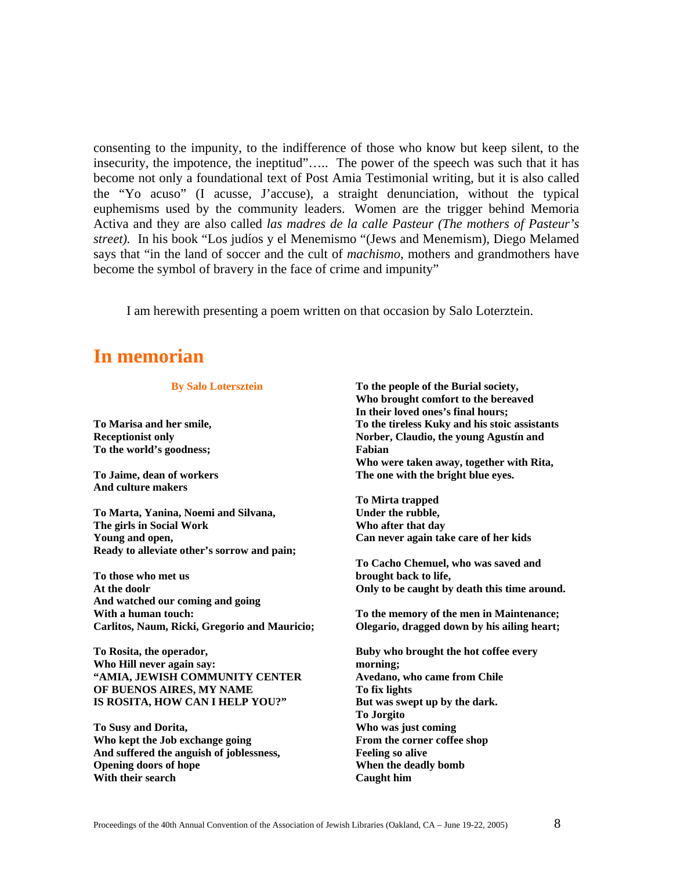consenting to the impunity, to the indifference of those who know but keep silent, to the insecurity, the impotence, the ineptitud"….. The power of the speech was such that it has become not only a foundational text of Post Amia Testimonial writing, but it is also called the "Yo acuso" (I acusse, J'accuse), a straight denunciation, without the typical euphemisms used by the community leaders. Women are the trigger behind Memoria Activa and they are also called *las madres de la calle Pasteur (The mothers of Pasteur's street).* In his book "Los judíos y el Menemismo "(Jews and Menemism), Diego Melamed says that "in the land of soccer and the cult of *machismo*, mothers and grandmothers have become the symbol of bravery in the face of crime and impunity"

I am herewith presenting a poem written on that occasion by Salo Loterztein.

# **In memorian**

 **By Salo Lotersztein** 

**To Marisa and her smile, Receptionist only To the world's goodness;** 

**To Jaime, dean of workers And culture makers** 

**To Marta, Yanina, Noemi and Silvana, The girls in Social Work Young and open, Ready to alleviate other's sorrow and pain;** 

**To those who met us At the doolr And watched our coming and going With a human touch: Carlitos, Naum, Ricki, Gregorio and Mauricio;** 

**To Rosita, the operador, Who Hill never again say: "AMIA, JEWISH COMMUNITY CENTER OF BUENOS AIRES, MY NAME IS ROSITA, HOW CAN I HELP YOU?"**

**To Susy and Dorita, Who kept the Job exchange going And suffered the anguish of joblessness, Opening doors of hope With their search** 

**To the people of the Burial society, Who brought comfort to the bereaved In their loved ones's final hours; To the tireless Kuky and his stoic assistants Norber, Claudio, the young Agustín and Fabian Who were taken away, together with Rita, The one with the bright blue eyes.** 

**To Mirta trapped Under the rubble, Who after that day Can never again take care of her kids** 

**To Cacho Chemuel, who was saved and brought back to life, Only to be caught by death this time around.** 

**To the memory of the men in Maintenance; Olegario, dragged down by his ailing heart;** 

**Buby who brought the hot coffee every morning; Avedano, who came from Chile To fix lights But was swept up by the dark. To Jorgito Who was just coming From the corner coffee shop Feeling so alive When the deadly bomb Caught him**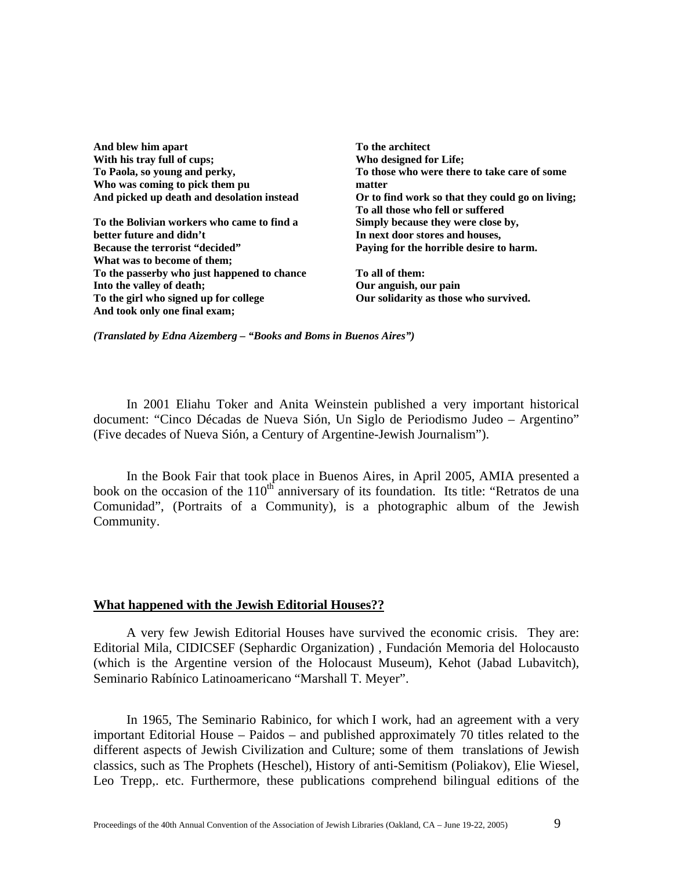And blew him apart **To the architect To the architect To the architect** With his tray full of cups: **With his tray** full of cups: **Who designed for Life: To Paola, so young and perky, Who was coming to pick them pu** 

**To the Bolivian workers who came to find a Simply because they were close by, better future and didn't and in 1997** In next door stores and houses, **Because the terrorist "decided"** Paying for the horrible desire to harm. **What was to become of them; To the passerby who just happened to chance To all of them:**  Into the valley of death; **Our anguish, our pain** To the girl who signed up for college **Our solidarity as those who survived. And took only one final exam;** 

**To those who were there to take care of some matter And picked up death and desolation instead Or to find work so that they could go on living; To all those who fell or suffered** 

*(Translated by Edna Aizemberg – "Books and Boms in Buenos Aires")*

In 2001 Eliahu Toker and Anita Weinstein published a very important historical document: "Cinco Décadas de Nueva Sión, Un Siglo de Periodismo Judeo – Argentino" (Five decades of Nueva Sión, a Century of Argentine-Jewish Journalism").

In the Book Fair that took place in Buenos Aires, in April 2005, AMIA presented a book on the occasion of the  $110<sup>th</sup>$  anniversary of its foundation. Its title: "Retratos de una Comunidad", (Portraits of a Community), is a photographic album of the Jewish Community.

#### **What happened with the Jewish Editorial Houses??**

A very few Jewish Editorial Houses have survived the economic crisis. They are: Editorial Mila, CIDICSEF (Sephardic Organization) , Fundación Memoria del Holocausto (which is the Argentine version of the Holocaust Museum), Kehot (Jabad Lubavitch), Seminario Rabínico Latinoamericano "Marshall T. Meyer".

In 1965, The Seminario Rabinico, for which I work, had an agreement with a very important Editorial House – Paidos – and published approximately 70 titles related to the different aspects of Jewish Civilization and Culture; some of them translations of Jewish classics, such as The Prophets (Heschel), History of anti-Semitism (Poliakov), Elie Wiesel, Leo Trepp,. etc. Furthermore, these publications comprehend bilingual editions of the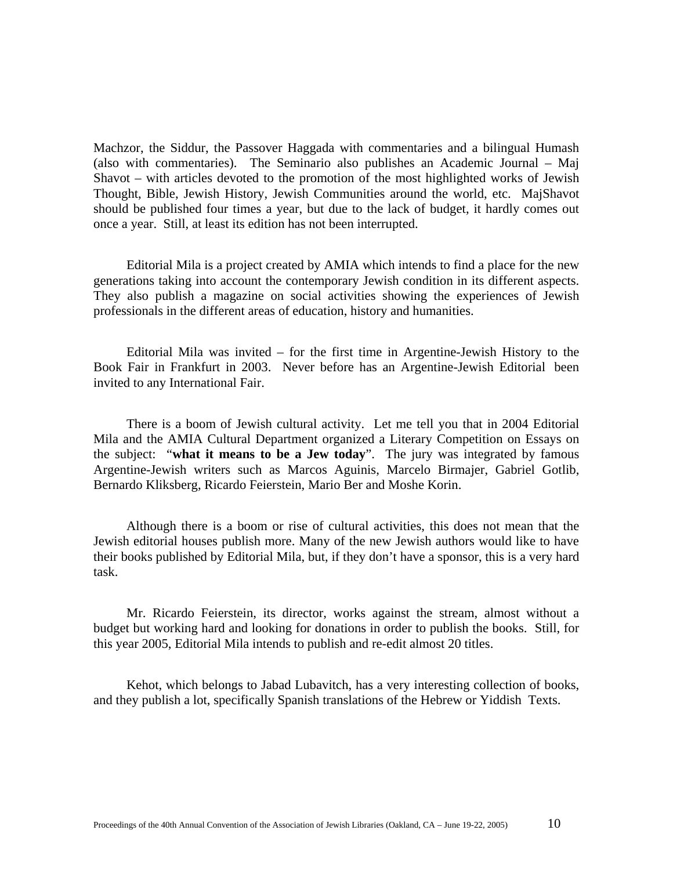Machzor, the Siddur, the Passover Haggada with commentaries and a bilingual Humash (also with commentaries). The Seminario also publishes an Academic Journal – Maj Shavot – with articles devoted to the promotion of the most highlighted works of Jewish Thought, Bible, Jewish History, Jewish Communities around the world, etc. MajShavot should be published four times a year, but due to the lack of budget, it hardly comes out once a year. Still, at least its edition has not been interrupted.

Editorial Mila is a project created by AMIA which intends to find a place for the new generations taking into account the contemporary Jewish condition in its different aspects. They also publish a magazine on social activities showing the experiences of Jewish professionals in the different areas of education, history and humanities.

Editorial Mila was invited – for the first time in Argentine-Jewish History to the Book Fair in Frankfurt in 2003. Never before has an Argentine-Jewish Editorial been invited to any International Fair.

There is a boom of Jewish cultural activity. Let me tell you that in 2004 Editorial Mila and the AMIA Cultural Department organized a Literary Competition on Essays on the subject: "**what it means to be a Jew today**". The jury was integrated by famous Argentine-Jewish writers such as Marcos Aguinis, Marcelo Birmajer, Gabriel Gotlib, Bernardo Kliksberg, Ricardo Feierstein, Mario Ber and Moshe Korin.

Although there is a boom or rise of cultural activities, this does not mean that the Jewish editorial houses publish more. Many of the new Jewish authors would like to have their books published by Editorial Mila, but, if they don't have a sponsor, this is a very hard task.

Mr. Ricardo Feierstein, its director, works against the stream, almost without a budget but working hard and looking for donations in order to publish the books. Still, for this year 2005, Editorial Mila intends to publish and re-edit almost 20 titles.

Kehot, which belongs to Jabad Lubavitch, has a very interesting collection of books, and they publish a lot, specifically Spanish translations of the Hebrew or Yiddish Texts.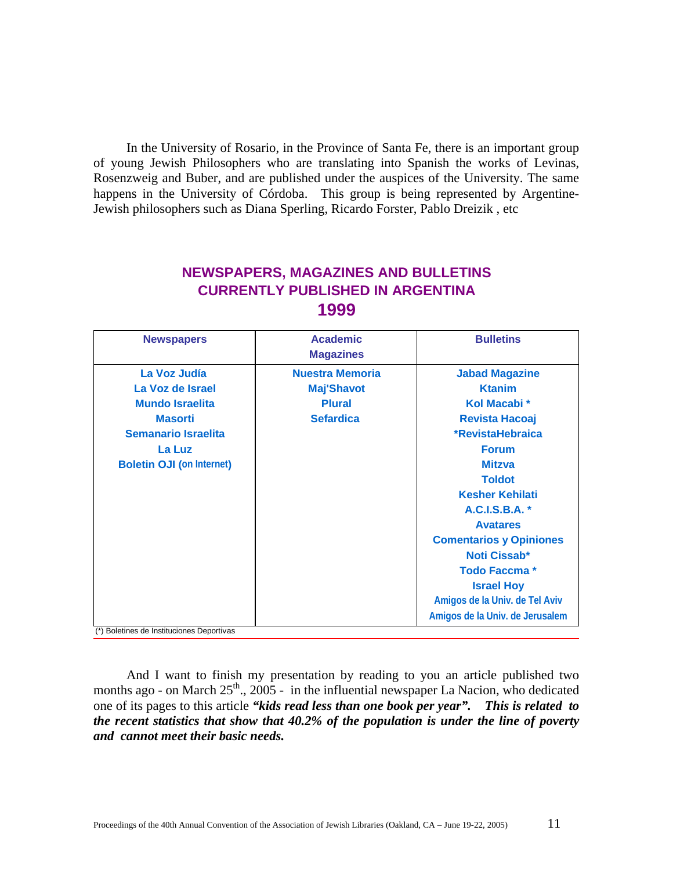In the University of Rosario, in the Province of Santa Fe, there is an important group of young Jewish Philosophers who are translating into Spanish the works of Levinas, Rosenzweig and Buber, and are published under the auspices of the University. The same happens in the University of Córdoba. This group is being represented by Argentine-Jewish philosophers such as Diana Sperling, Ricardo Forster, Pablo Dreizik , etc

# **NEWSPAPERS, MAGAZINES AND BULLETINS CURRENTLY PUBLISHED IN ARGENTINA 1999**

| <b>Newspapers</b>                         | <b>Academic</b><br><b>Magazines</b> | <b>Bulletins</b>                |
|-------------------------------------------|-------------------------------------|---------------------------------|
| La Voz Judía                              | <b>Nuestra Memoria</b>              | <b>Jabad Magazine</b>           |
| La Voz de Israel                          | <b>Maj'Shavot</b>                   | <b>Ktanim</b>                   |
| <b>Mundo Israelita</b>                    | <b>Plural</b>                       | Kol Macabi *                    |
| <b>Masorti</b>                            | <b>Sefardica</b>                    | <b>Revista Hacoaj</b>           |
| <b>Semanario Israelita</b>                |                                     | *RevistaHebraica                |
| La Luz                                    |                                     | <b>Forum</b>                    |
| <b>Boletin OJI (on Internet)</b>          |                                     | <b>Mitzva</b>                   |
|                                           |                                     | <b>Toldot</b>                   |
|                                           |                                     | <b>Kesher Kehilati</b>          |
|                                           |                                     | A.C.I.S.B.A. *                  |
|                                           |                                     | <b>Avatares</b>                 |
|                                           |                                     | <b>Comentarios y Opiniones</b>  |
|                                           |                                     | <b>Noti Cissab*</b>             |
|                                           |                                     | <b>Todo Faccma*</b>             |
|                                           |                                     | <b>Israel Hoy</b>               |
|                                           |                                     | Amigos de la Univ. de Tel Aviv  |
|                                           |                                     | Amigos de la Univ. de Jerusalem |
| (*) Boletines de Instituciones Deportivas |                                     |                                 |

And I want to finish my presentation by reading to you an article published two months ago - on March  $25<sup>th</sup>$ ,  $2005$  - in the influential newspaper La Nacion, who dedicated one of its pages to this article *"kids read less than one book per year". This is related to the recent statistics that show that 40.2% of the population is under the line of poverty and cannot meet their basic needs.*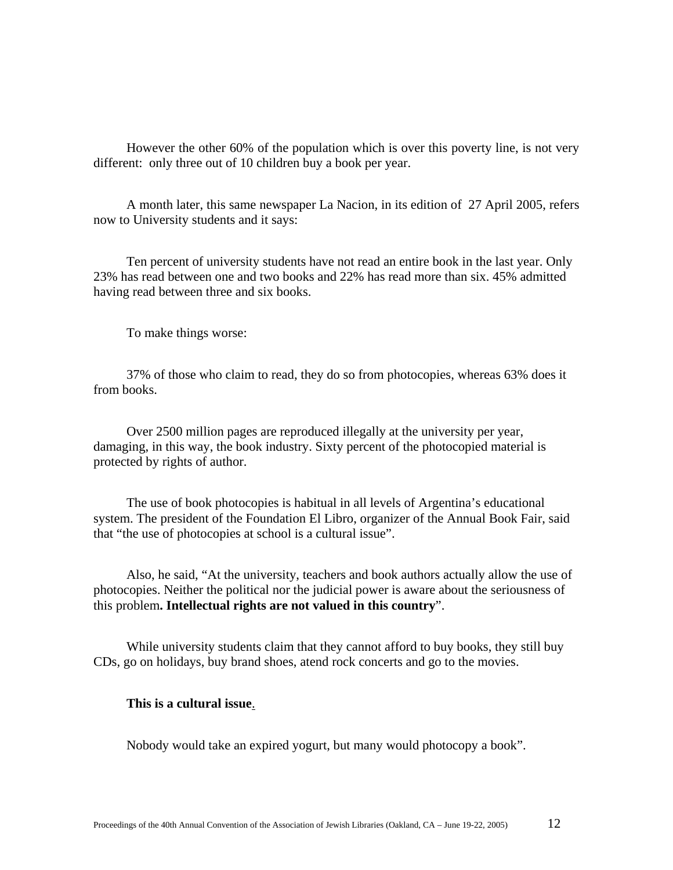However the other 60% of the population which is over this poverty line, is not very different: only three out of 10 children buy a book per year.

A month later, this same newspaper La Nacion, in its edition of 27 April 2005, refers now to University students and it says:

Ten percent of university students have not read an entire book in the last year. Only 23% has read between one and two books and 22% has read more than six. 45% admitted having read between three and six books.

To make things worse:

37% of those who claim to read, they do so from photocopies, whereas 63% does it from books.

Over 2500 million pages are reproduced illegally at the university per year, damaging, in this way, the book industry. Sixty percent of the photocopied material is protected by rights of author.

The use of book photocopies is habitual in all levels of Argentina's educational system. The president of the Foundation El Libro, organizer of the Annual Book Fair, said that "the use of photocopies at school is a cultural issue".

Also, he said, "At the university, teachers and book authors actually allow the use of photocopies. Neither the political nor the judicial power is aware about the seriousness of this problem**. Intellectual rights are not valued in this country**".

While university students claim that they cannot afford to buy books, they still buy CDs, go on holidays, buy brand shoes, atend rock concerts and go to the movies.

#### **This is a cultural issue**.

Nobody would take an expired yogurt, but many would photocopy a book".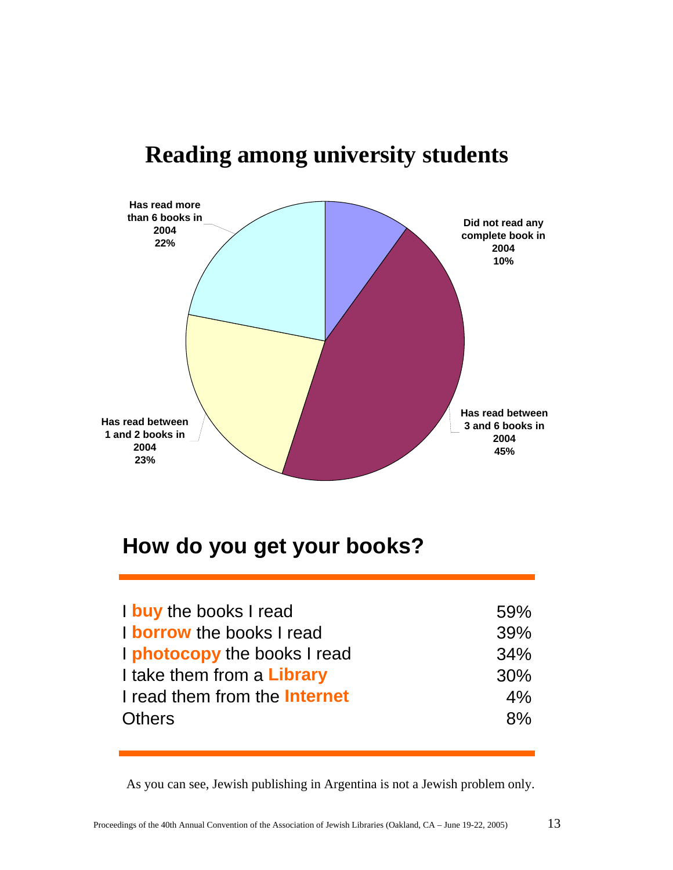



# **How do you get your books?**

| 59% |
|-----|
| 39% |
| 34% |
| 30% |
| 4%  |
| 8%  |
|     |

As you can see, Jewish publishing in Argentina is not a Jewish problem only.